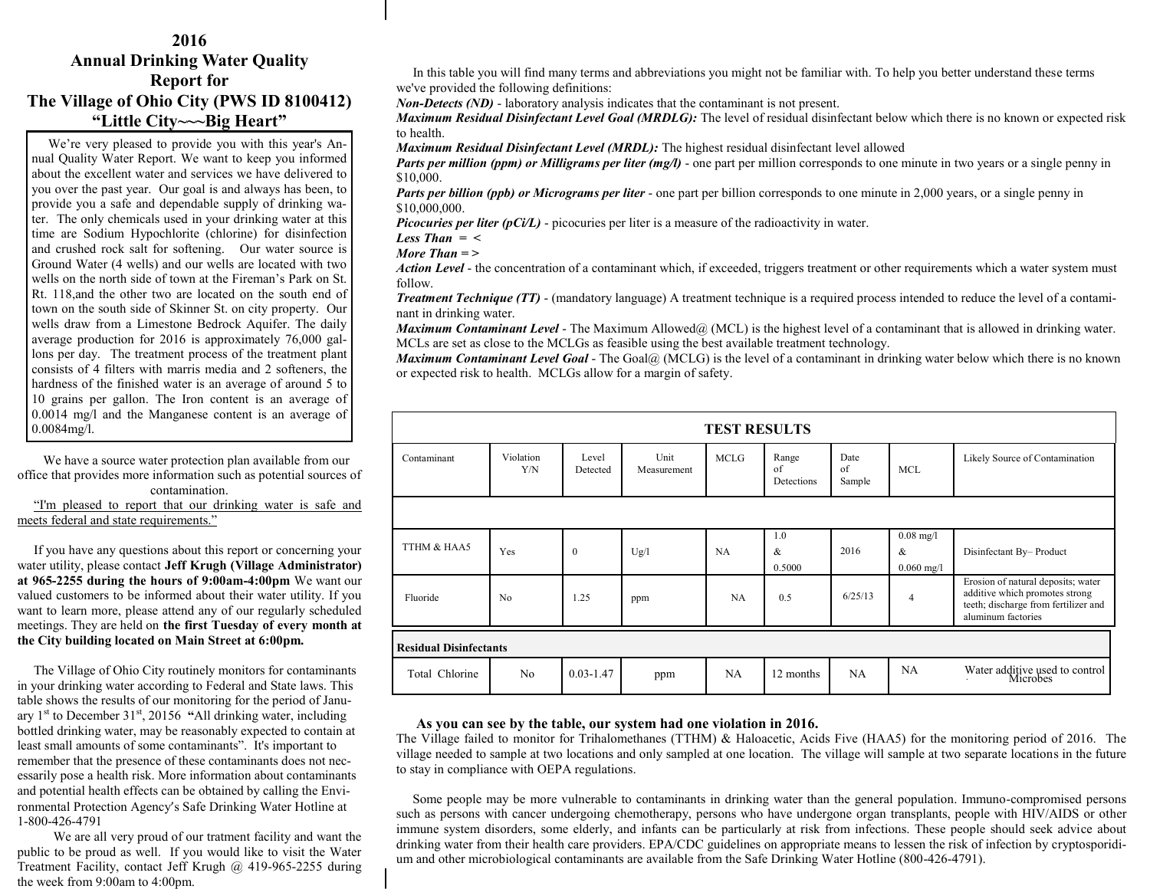## **2016 Annual Drinking Water Quality Report for The Village of Ohio City (PWS ID 8100412) "Little City~~~Big Heart"**

 We're very pleased to provide you with this year's Annual Quality Water Report. We want to keep you informed about the excellent water and services we have delivered to you over the past year. Our goal is and always has been, to provide you a safe and dependable supply of drinking water. The only chemicals used in your drinking water at this time are Sodium Hypochlorite (chlorine) for disinfection and crushed rock salt for softening. Our water source is Ground Water (4 wells) and our wells are located with two wells on the north side of town at the Fireman's Park on St. Rt. 118,and the other two are located on the south end of town on the south side of Skinner St. on city property. Our wells draw from a Limestone Bedrock Aquifer. The daily average production for 2016 is approximately 76,000 gallons per day.The treatment process of the treatment plant consists of 4 filters with marris media and 2 softeners, the hardness of the finished water is an average of around 5 to 10 grains per gallon. The Iron content is an average of 0.0014 mg/l and the Manganese content is an average of 0.0084mg/l. I

 We have a source water protection plan available from our office that provides more information such as potential sources of contamination.

 "I'm pleased to report that our drinking water is safe and meets federal and state requirements."

 If you have any questions about this report or concerning your water utility, please contact **Jeff Krugh (Village Administrator) at 965-2255 during the hours of 9:00am-4:00pm** We want our valued customers to be informed about their water utility. If you want to learn more, please attend any of our regularly scheduled meetings. They are held on **the first Tuesday of every month at the City building located on Main Street at 6:00pm.**

 The Village of Ohio City routinely monitors for contaminants in your drinking water according to Federal and State laws. This table shows the results of our monitoring for the period of January 1st to December 31st, 20156 **"**All drinking water, including bottled drinking water, may be reasonably expected to contain at least small amounts of some contaminants". It's important to remember that the presence of these contaminants does not necessarily pose a health risk. More information about contaminants and potential health effects can be obtained by calling the Environmental Protection Agency's Safe Drinking Water Hotline at 1-800-426-4791

 We are all very proud of our tratment facility and want the public to be proud as well. If you would like to visit the Water Treatment Facility, contact Jeff Krugh @ 419-965-2255 during the week from 9:00am to 4:00pm.

 In this table you will find many terms and abbreviations you might not be familiar with. To help you better understand these terms we've provided the following definitions:

*Non-Detects (ND)* - laboratory analysis indicates that the contaminant is not present.

*Maximum Residual Disinfectant Level Goal (MRDLG):* The level of residual disinfectant below which there is no known or expected risk to health.

*Maximum Residual Disinfectant Level (MRDL):* The highest residual disinfectant level allowed

*Parts per million (ppm) or Milligrams per liter (mg/l)* - one part per million corresponds to one minute in two years or a single penny in \$10,000.

*Parts per billion (ppb) or Micrograms per liter* - one part per billion corresponds to one minute in 2,000 years, or a single penny in \$10,000,000.

*Picocuries per liter (pCi/L)* - picocuries per liter is a measure of the radioactivity in water.

*Less Than = <*

*More Than = >*

*Action Level* - the concentration of a contaminant which, if exceeded, triggers treatment or other requirements which a water system must follow.

*Treatment Technique (TT)* - (mandatory language) A treatment technique is a required process intended to reduce the level of a contaminant in drinking water.

*Maximum Contaminant Level* - The Maximum Allowed@ (MCL) is the highest level of a contaminant that is allowed in drinking water. MCLs are set as close to the MCLGs as feasible using the best available treatment technology.

*Maximum Contaminant Level Goal* - The Goal@ (MCLG) is the level of a contaminant in drinking water below which there is no known or expected risk to health. MCLGs allow for a margin of safety.

| <b>TEST RESULTS</b>           |                  |                   |                     |             |                           |                      |                                     |                                                                                                                                    |
|-------------------------------|------------------|-------------------|---------------------|-------------|---------------------------|----------------------|-------------------------------------|------------------------------------------------------------------------------------------------------------------------------------|
| Contaminant                   | Violation<br>Y/N | Level<br>Detected | Unit<br>Measurement | <b>MCLG</b> | Range<br>of<br>Detections | Date<br>of<br>Sample | <b>MCL</b>                          | Likely Source of Contamination                                                                                                     |
|                               |                  |                   |                     |             |                           |                      |                                     |                                                                                                                                    |
| TTHM & HAA5                   | Yes              | $\Omega$          | Ug/l                | NA          | 1.0<br>$\&$<br>0.5000     | 2016                 | $0.08$ mg/l<br>$\&$<br>$0.060$ mg/l | Disinfectant By-Product                                                                                                            |
| Fluoride                      | No               | 1.25              | ppm                 | NA          | 0.5                       | 6/25/13              | $\overline{4}$                      | Erosion of natural deposits; water<br>additive which promotes strong<br>teeth; discharge from fertilizer and<br>aluminum factories |
| <b>Residual Disinfectants</b> |                  |                   |                     |             |                           |                      |                                     |                                                                                                                                    |
| Total Chlorine                | No               | $0.03 - 1.47$     | ppm                 | NA          | 12 months                 | NA                   | NA                                  | Water additive used to control<br>Microbes                                                                                         |

## **As you can see by the table, our system had one violation in 2016.**

The Village failed to monitor for Trihalomethanes (TTHM) & Haloacetic, Acids Five (HAA5) for the monitoring period of 2016. The village needed to sample at two locations and only sampled at one location. The village will sample at two separate locations in the future to stay in compliance with OEPA regulations.

 Some people may be more vulnerable to contaminants in drinking water than the general population. Immuno-compromised persons such as persons with cancer undergoing chemotherapy, persons who have undergone organ transplants, people with HIV/AIDS or other immune system disorders, some elderly, and infants can be particularly at risk from infections. These people should seek advice about drinking water from their health care providers. EPA/CDC guidelines on appropriate means to lessen the risk of infection by cryptosporidium and other microbiological contaminants are available from the Safe Drinking Water Hotline (800-426-4791).